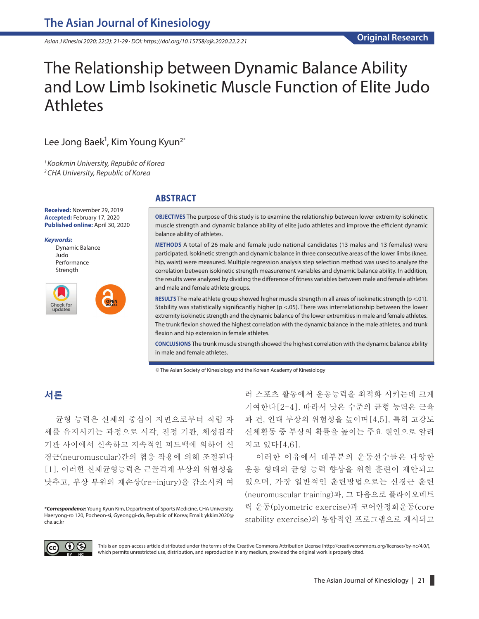*Asian J Kinesiol 2020; 22(2): 21-29 · DOI: https://doi.org/10.15758/ajk.2020.22.2.21*

# The Relationship between Dynamic Balance Ability and Low Limb Isokinetic Muscle Function of Elite Judo Athletes

# Lee Jong Baek<sup>1</sup>, Kim Young Kyun<sup>2\*</sup>

*1 Kookmin University, Republic of Korea 2 CHA University, Republic of Korea*

**Received:** November 29, 2019 **Accepted:** February 17, 2020 **Published online:** April 30, 2020

*Keywords:*

Dynamic Balance Judo Performance Strength



## **ABSTRACT**

**OBJECTIVES** The purpose of this study is to examine the relationship between lower extremity isokinetic muscle strength and dynamic balance ability of elite judo athletes and improve the efficient dynamic balance ability of athletes.

**METHODS** A total of 26 male and female judo national candidates (13 males and 13 females) were participated. Isokinetic strength and dynamic balance in three consecutive areas of the lower limbs (knee, hip, waist) were measured. Multiple regression analysis step selection method was used to analyze the correlation between isokinetic strength measurement variables and dynamic balance ability. In addition, the results were analyzed by dividing the difference of fitness variables between male and female athletes and male and female athlete groups.

**RESULTS** The male athlete group showed higher muscle strength in all areas of isokinetic strength (p <.01). Stability was statistically significantly higher (p <.05). There was interrelationship between the lower extremity isokinetic strength and the dynamic balance of the lower extremities in male and female athletes. The trunk flexion showed the highest correlation with the dynamic balance in the male athletes, and trunk flexion and hip extension in female athletes.

**CONCLUSIONS** The trunk muscle strength showed the highest correlation with the dynamic balance ability in male and female athletes.

© The Asian Society of Kinesiology and the Korean Academy of Kinesiology

## **서론**

균형 능력은 신체의 중심이 지면으로부터 직립 자 세를 유지시키는 과정으로 시각, 전정 기관, 체성감각 기관 사이에서 신속하고 지속적인 피드백에 의하여 신 경근(neuromuscular)간의 협응 작용에 의해 조절된다 [1]. 이러한 신체균형능력은 근골격계 부상의 위험성을 낮추고, 부상 부위의 재손상(re-injury)을 감소시켜 여

러 스포츠 활동에서 운동능력을 최적화 시키는데 크게 기여한다[2-4]. 따라서 낮은 수준의 균형 능력은 근육 과 건, 인대 부상의 위험성을 높이며[4,5], 특히 고강도 신체활동 중 부상의 확률을 높이는 주요 원인으로 알려 지고 있다[4,6].

이러한 이유에서 대부분의 운동선수들은 다양한 운동 형태의 균형 능력 향상을 위한 훈련이 제안되고 있으며, 가장 일반적인 훈련방법으로는 신경근 훈련 (neuromuscular training)과, 그 다음으로 플라이오메트 릭 운동(plyometric exercise)과 코어안정화운동(core stability exercise)의 통합적인 프로그램으로 제시되고



This is an open-access article distributed under the terms of the Creative Commons Attribution License (http://creativecommons.org/licenses/by-nc/4.0/), which permits unrestricted use, distribution, and reproduction in any medium, provided the original work is properly cited.

*<sup>\*</sup>Correspondence:* Young Kyun Kim, Department of Sports Medicine, CHA University, Haeryong-ro 120, Pocheon-si, Gyeonggi-do, Republic of Korea; Email: ykkim2020@ cha.ac.kr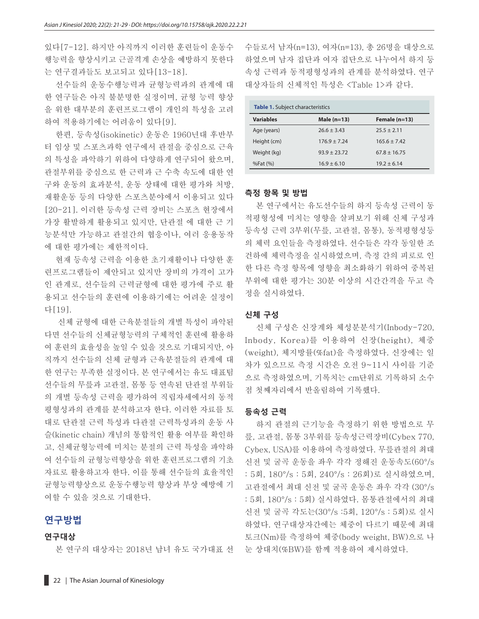있다[7-12]. 하지만 아직까지 이러한 훈련들이 운동수 행능력을 향상시키고 근골격계 손상을 예방하지 못한다 는 연구결과들도 보고되고 있다[13-18].

선수들의 운동수행능력과 균형능력과의 관계에 대 한 연구들은 아직 불분명한 실정이며, 균형 능력 향상 을 위한 대부분의 훈련프로그램이 개인의 특성을 고려 하여 적용하기에는 어려움이 있다[9].

한편, 등속성(isokinetic) 운동은 1960년대 후반부 터 임상 및 스포츠과학 연구에서 관절을 중심으로 근육 의 특성을 파악하기 위하여 다양하게 연구되어 왔으며, 관절부위를 중심으로 한 근력과 근 수축 속도에 대한 연 구와 운동의 효과분석, 운동 상태에 대한 평가와 처방, 재활운동 등의 다양한 스포츠분야에서 이용되고 있다 [20-21]. 이러한 등속성 근력 장비는 스포츠 현장에서 가장 활발하게 활용되고 있지만, 단관절 에 대한 근 기 능분석만 가능하고 관절간의 협응이나, 여러 응용동작 에 대한 평가에는 제한적이다.

현재 등속성 근력을 이용한 초기재활이나 다양한 훈 련프로그램들이 제안되고 있지만 장비의 가격이 고가 인 관계로, 선수들의 근력균형에 대한 평가에 주로 활 용되고 선수들의 훈련에 이용하기에는 어려운 실정이 다[19].

신체 균형에 대한 근육분절들의 개별 특성이 파악된 다면 선수들의 신체균형능력의 구체적인 훈련에 활용하 여 훈련의 효율성을 높일 수 있을 것으로 기대되지만, 아 직까지 선수들의 신체 균형과 근육분절들의 관계에 대 한 연구는 부족한 실정이다. 본 연구에서는 유도 대표팀 선수들의 무릎과 고관절, 몸통 등 연속된 단관절 부위들 의 개별 등속성 근력을 평가하여 직립자세에서의 동적 평형성과의 관계를 분석하고자 한다. 이러한 자료를 토 대로 단관절 근력 특성과 다관절 근력특성과의 운동 사 슬(kinetic chain) 개념의 통합적인 활용 여부를 확인하 고, 신체균형능력에 미치는 분절의 근력 특성을 파악하 여 선수들의 균형능력향상을 위한 훈련프로그램의 기초 자료로 활용하고자 한다. 이를 통해 선수들의 효율적인 균형능력향상으로 운동수행능력 향상과 부상 예방에 기 여할 수 있을 것으로 기대한다.

## **연구방법**

#### **연구대상**

본 연구의 대상자는 2018년 남녀 유도 국가대표 선

수들로서 남자(n=13), 여자(n=13), 총 26명을 대상으로 하였으며 남자 집단과 여자 집단으로 나누어서 하지 등 속성 근력과 동적평형성과의 관계를 분석하였다. 연구 대상자들의 신체적인 특성은 <Table 1>과 같다.

| <b>Table 1.</b> Subject characteristics |                  |                  |  |  |  |  |  |
|-----------------------------------------|------------------|------------------|--|--|--|--|--|
| <b>Variables</b>                        | Male $(n=13)$    | Female $(n=13)$  |  |  |  |  |  |
| Age (years)                             | $26.6 \pm 3.43$  | $25.5 \pm 2.11$  |  |  |  |  |  |
| Height (cm)                             | $176.9 \pm 7.24$ | $165.6 \pm 7.42$ |  |  |  |  |  |
| Weight (kg)                             | $93.9 \pm 23.72$ | $67.8 \pm 16.75$ |  |  |  |  |  |
| %Fat (%)                                | $16.9 \pm 6.10$  | $19.2 \pm 6.14$  |  |  |  |  |  |

#### **측정 항목 및 방법**

본 연구에서는 유도선수들의 하지 등속성 근력이 동 적평형성에 미치는 영향을 살펴보기 위해 신체 구성과 등속성 근력 3부위(무릎, 고관절, 몸통), 동적평형성등 의 체력 요인들을 측정하였다. 선수들은 각각 동일한 조 건하에 체력측정을 실시하였으며, 측정 간의 피로로 인 한 다른 측정 항목에 영향을 최소화하기 위하여 중복된 부위에 대한 평가는 30분 이상의 시간간격을 두고 측 정을 실시하였다.

## **신체 구성**

신체 구성은 신장계와 체성분분석기(Inbody-720, Inbody, Korea)를 이용하여 신장(height), 체중 (weight), 체지방률(%fat)을 측정하였다. 신장에는 일 차가 있으므로 측정 시간은 오전 9~11시 사이를 기준 으로 측정하였으며, 기록치는 cm단위로 기록하되 소수 점 첫째자리에서 반올림하여 기록했다.

#### **등속성 근력**

하지 관절의 근기능을 측정하기 위한 방법으로 무 릎, 고관절, 몸통 3부위를 등속성근력장비(Cybex 770, Cybex, USA)를 이용하여 측정하였다. 무릎관절의 최대 신전 및 굴곡 운동을 좌우 각각 정해진 운동속도(60°/s : 5회, 180°/s : 5회, 240°/s : 26회)로 실시하였으며, 고관절에서 최대 신전 및 굴곡 운동은 좌우 각각 (30°/s : 5회, 180°/s : 5회) 실시하였다. 몸통관절에서의 최대 신전 및 굴곡 각도는(30°/s :5회, 120°/s : 5회)로 실시 하였다. 연구대상자간에는 체중이 다르기 때문에 최대 토크(Nm)를 측정하여 체중(body weight, BW)으로 나 눈 상대치(%BW)를 함께 적용하여 제시하였다.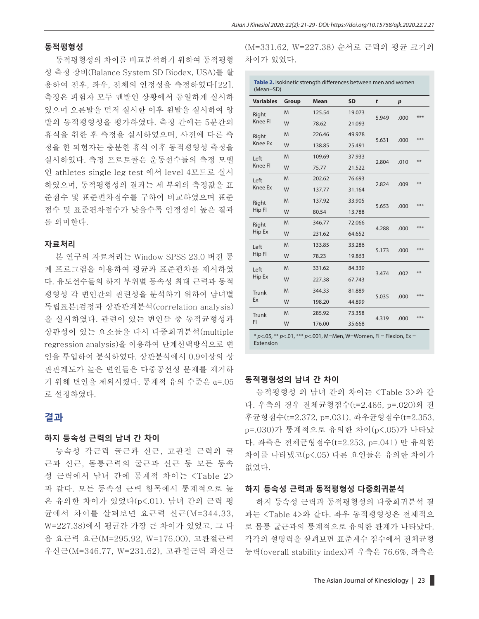#### **동적평형성**

동적평형성의 차이를 비교분석하기 위하여 동적평형 성 측정 장비(Balance System SD Biodex, USA)를 활 용하여 전후, 좌우, 전체의 안정성을 측정하였다[22]. 측정은 피험자 모두 맨발인 상황에서 동일하게 실시하 였으며 오른발을 먼저 실시한 이후 왼발을 실시하여 양 발의 동적평형성을 평가하였다. 측정 간에는 5분간의 휴식을 취한 후 측정을 실시하였으며, 사전에 다른 측 정을 한 피험자는 충분한 휴식 이후 동적평형성 측정을 실시하였다. 측정 프로토콜은 운동선수들의 측정 모델 인 athletes single leg test 에서 level 4모드로 실시 하였으며, 동적평형성의 결과는 세 부위의 측정값을 표 준점수 및 표준편차점수를 구하여 비교하였으며 표준 점수 및 표준편차점수가 낮을수록 안정성이 높은 결과 를 의미한다.

#### **자료처리**

본 연구의 자료처리는 Window SPSS 23.0 버전 통 계 프로그램을 이용하여 평균과 표준편차를 제시하였 다. 유도선수들의 하지 부위별 등속성 최대 근력과 동적 평형성 각 변인간의 관련성을 분석하기 위하여 남녀별 독립표본t검정과 상관관계분석(correlation analysis) 을 실시하였다. 관련이 있는 변인들 중 동적균형성과 상관성이 있는 요소들을 다시 다중회귀분석(multiple regression analysis)을 이용하여 단계선택방식으로 변 인을 투입하여 분석하였다. 상관분석에서 0.9이상의 상 관관계도가 높은 변인들은 다중공선성 문제를 제거하 기 위해 변인을 제외시켰다. 통계적 유의 수준은 α=.05 로 설정하였다.

## **결과**

#### **하지 등속성 근력의 남녀 간 차이**

등속성 각근력 굴근과 신근, 고관절 근력의 굴 근과 신근, 몸통근력의 굴근과 신근 등 모든 등속 성 근력에서 남녀 간에 통계적 차이는 <Table 2> 과 같다. 모든 등속성 근력 항목에서 통계적으로 높 은 유의한 차이가 있었다(p<.01). 남녀 간의 근력 평 균에서 차이를 살펴보면 요근력 신근(M=344.33, W=227.38)에서 평균간 가장 큰 차이가 있었고, 그 다 음 요근력 요근(M=295.92, W=176.00), 고관절근력 우신근(M=346.77, W=231.62), 고관절근력 좌신근 (M=331.62, W=227.38) 순서로 근력의 평균 크기의 차이가 있었다.

| Table 2. Isokinetic strength differences between men and women<br>(Mean±SD) |       |             |           |       |                  |     |  |  |
|-----------------------------------------------------------------------------|-------|-------------|-----------|-------|------------------|-----|--|--|
| <b>Variables</b>                                                            | Group | <b>Mean</b> | <b>SD</b> | t     | $\boldsymbol{p}$ |     |  |  |
| Right<br>Knee Fl                                                            | M     | 125.54      | 19.073    | 5.949 | .000             | *** |  |  |
|                                                                             | W     | 78.62       | 21.093    |       |                  |     |  |  |
| Right                                                                       | M     | 226.46      | 49.978    |       |                  | *** |  |  |
| <b>Knee Ex</b>                                                              | W     | 138.85      | 25.491    | 5.631 | .000             |     |  |  |
| Left                                                                        | M     | 109.69      | 37.933    |       |                  | **  |  |  |
| Knee Fl                                                                     | W     | 75.77       | 21.522    | 2.804 | .010             |     |  |  |
| Left                                                                        | M     | 202.62      | 76.693    | 2.824 | .009             | **  |  |  |
| <b>Knee Ex</b>                                                              | W     | 137.77      | 31.164    |       |                  |     |  |  |
| Right<br>Hip Fl                                                             | M     | 137.92      | 33.905    |       |                  | *** |  |  |
|                                                                             | W     | 80.54       | 13.788    | 5.653 | .000             |     |  |  |
| Right<br>Hip Ex                                                             | M     | 346.77      | 72.066    |       |                  | *** |  |  |
|                                                                             | W     | 231.62      | 64.652    | 4.288 | .000             |     |  |  |
| Left<br>Hip Fl                                                              | M     | 133.85      | 33.286    |       |                  | *** |  |  |
|                                                                             | W     | 78.23       | 19.863    | 5.173 | .000             |     |  |  |
| Left                                                                        | M     | 331.62      | 84.339    |       |                  | **  |  |  |
| Hip Ex                                                                      | W     | 227.38      | 67.743    | 3.474 | .002             |     |  |  |
| Trunk                                                                       | M     | 344.33      | 81.889    |       |                  | *** |  |  |
| Ex                                                                          | W     | 198.20      | 44.899    | 5.035 | .000             |     |  |  |
| Trunk                                                                       | M     | 285.92      | 73.358    |       |                  | *** |  |  |
| FI                                                                          | W     | 176.00      | 35.668    | 4.319 | .000             |     |  |  |
| $*$ n< 05 $**$ n< 01 $**$ n< 001 M-Mon W-Woman EL - Elovian Ey -            |       |             |           |       |                  |     |  |  |

\* *p*<.05, \*\* *p*<.01, \*\*\* *p*<.001, M=Men, W=Women, Fl = Flexion, Ex = Extension

#### **동적평형성의 남녀 간 차이**

동적평형성 의 남녀 간의 차이는 <Table 3>와 같 다. 우측의 경우 전체균형점수(t=2.486, p=.020)와 전 후균형점수(t=2.372, p=.031), 좌우균형점수(t=2.353, p=.030)가 통계적으로 유의한 차이(p<.05)가 나타났 다. 좌측은 전체균형점수(t=2.253, p=.041) 만 유의한 차이를 나타냈고(p<.05) 다른 요인들은 유의한 차이가 없었다.

#### **하지 등속성 근력과 동적평형성 다중회귀분석**

하지 등속성 근력과 동적평형성의 다중회귀분석 결 과는 <Table 4>와 같다. 좌우 동적평형성은 전체적으 로 몸통 굴근과의 통계적으로 유의한 관계가 나타났다. 각각의 설명력을 살펴보면 표준계수 점수에서 전체균형 능력(overall stability index)과 우측은 76.6%, 좌측은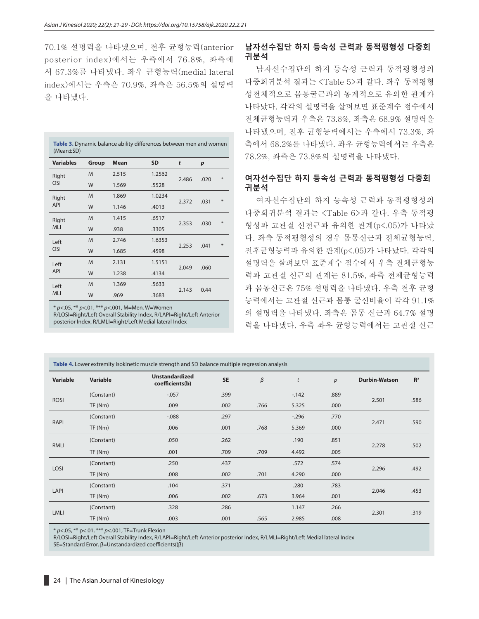70.1% 설명력을 나타냈으며, 전후 균형능력(anterior posterior index)에서는 우측에서 76.8%, 좌측에 서 67.3%를 나타냈다. 좌우 균형능력(medial lateral index)에서는 우측은 70.9%, 좌측은 56.5%의 설명력 을 나타냈다.

| Table 3. Dynamic balance ability differences between men and women<br>$(Mean \pm SD)$ |       |             |           |       |                  |    |  |
|---------------------------------------------------------------------------------------|-------|-------------|-----------|-------|------------------|----|--|
| <b>Variables</b>                                                                      | Group | <b>Mean</b> | <b>SD</b> | t     | $\boldsymbol{p}$ |    |  |
| Right                                                                                 | M     | 2.515       | 1.2562    | 2.486 | .020             | ¥. |  |
| OSI                                                                                   | W     | 1.569       | .5528     |       |                  |    |  |
| Right<br><b>API</b>                                                                   | M     | 1.869       | 1.0234    |       |                  | *  |  |
|                                                                                       | W     | 1.146       | .4013     | 2.372 |                  |    |  |
| Right<br><b>MLI</b>                                                                   | M     | 1.415       | .6517     |       | .030             | *  |  |
|                                                                                       | W     | .938        | .3305     | 2.353 |                  |    |  |
| Left                                                                                  | M     | 2.746       | 1.6353    |       |                  | ¥. |  |
| <b>OSI</b>                                                                            | W     | 1.685       | .4598     | 2.253 | .041             |    |  |
| Left                                                                                  | M     | 2.131       | 1.5151    |       |                  |    |  |
| <b>API</b>                                                                            | W     | 1.238       | .4134     | 2.049 | .060             |    |  |
| Left                                                                                  | M     | 1.369       | .5633     |       |                  |    |  |
| <b>MLI</b>                                                                            | W     | .969        | .3683     | 2.143 | 0.44             |    |  |

\* *p*<.05, \*\* *p*<.01, \*\*\* *p*<.001, M=Men, W=Women R/LOSI=Right/Left Overall Stability Index, R/LAPI=Right/Left Anterior posterior Index, R/LMLI=Right/Left Medial lateral Index

## **남자선수집단 하지 등속성 근력과 동적평형성 다중회 귀분석**

남자선수집단의 하지 등속성 근력과 동적평형성의 다중회귀분석 결과는 <Table 5>과 같다. 좌우 동적평형 성전체적으로 몸통굴근과의 통계적으로 유의한 관계가 나타났다. 각각의 설명력을 살펴보면 표준계수 점수에서 전체균형능력과 우측은 73.8%, 좌측은 68.9% 설명력을 나타냈으며, 전후 균형능력에서는 우측에서 73.3%, 좌 측에서 68.2%를 나타냈다. 좌우 균형능력에서는 우측은 78.2%, 좌측은 73.8%의 설명력을 나타냈다.

## **여자선수집단 하지 등속성 근력과 동적평형성 다중회 귀분석**

여자선수집단의 하지 등속성 근력과 동적평형성의 다중회귀분석 결과는 <Table 6>과 같다. 우측 동적평 형성과 고관절 신전근과 유의한 관계(p<.05)가 나타났 다. 좌측 동적평형성의 경우 몸통신근과 전체균형능력, 전후균형능력과 유의한 관계(p<.05)가 나타났다. 각각의 설명력을 살펴보면 표준계수 점수에서 우측 전체균형능 력과 고관절 신근의 관계는 81.5%, 좌측 전체균형능력 과 몸통신근은 75% 설명력을 나타냈다. 우측 전후 균형 능력에서는 고관절 신근과 몸통 굴신비율이 각각 91.1% 의 설명력을 나타냈다. 좌측은 몸통 신근과 64.7% 설명 력을 나타냈다. 우측 좌우 균형능력에서는 고관절 신근

| Table 4. Lower extremity isokinetic muscle strength and SD balance multiple regression analysis |            |                                          |           |         |        |      |                      |       |  |
|-------------------------------------------------------------------------------------------------|------------|------------------------------------------|-----------|---------|--------|------|----------------------|-------|--|
| Variable                                                                                        | Variable   | <b>Unstandardized</b><br>coefficients(b) | <b>SE</b> | $\beta$ | t      | p    | <b>Durbin-Watson</b> | $R^2$ |  |
| <b>ROSI</b>                                                                                     | (Constant) | $-0.057$                                 | .399      |         | $-142$ | .889 |                      |       |  |
|                                                                                                 | TF(Nm)     | .009                                     | .002      | .766    | 5.325  | .000 | 2.501                | .586  |  |
| RAPI                                                                                            | (Constant) | $-0.088$                                 | .297      |         | $-296$ | .770 | 2.471                | .590  |  |
|                                                                                                 | TF(Nm)     | .006                                     | .001      | .768    | 5.369  | .000 |                      |       |  |
| RMLI                                                                                            | (Constant) | .050                                     | .262      |         | .190   | .851 | 2.278                | .502  |  |
|                                                                                                 | TF(Nm)     | .001                                     | .709      | .709    | 4.492  | .005 |                      |       |  |
| LOSI                                                                                            | (Constant) | .250                                     | .437      |         | .572   | .574 | 2.296                | .492  |  |
|                                                                                                 | TF(Nm)     | .008                                     | .002      | .701    | 4.290  | .000 |                      |       |  |
|                                                                                                 | (Constant) | .104                                     | .371      |         | .280   | .783 |                      | .453  |  |
| LAPI                                                                                            | TF(Nm)     | .006                                     | .002      | .673    | 3.964  | .001 | 2.046                |       |  |
|                                                                                                 | (Constant) | .328                                     | .286      |         | 1.147  | .266 | 2.301                | .319  |  |
| <b>LMLI</b>                                                                                     | TF(Nm)     | .003                                     | .001      | .565    | 2.985  | .008 |                      |       |  |

\* *p*<.05, \*\* p<.01, \*\*\* *p*<.001, TF=Trunk Flexion

R/LOSI=Right/Left Overall Stability Index, R/LAPI=Right/Left Anterior posterior Index, R/LMLI=Right/Left Medial lateral Index SE=Standard Error, β=Unstandardized coefficients((β)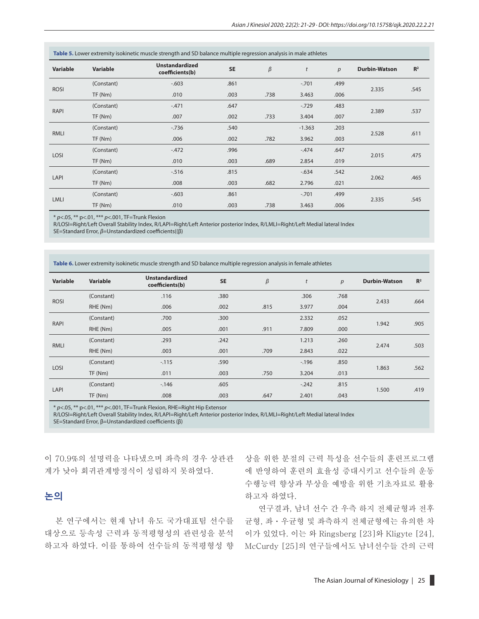| Table 5. Lower extremity isokinetic muscle strength and SD balance multiple regression analysis in male athletes |            |                                          |           |         |                  |      |                      |                |  |
|------------------------------------------------------------------------------------------------------------------|------------|------------------------------------------|-----------|---------|------------------|------|----------------------|----------------|--|
| Variable                                                                                                         | Variable   | <b>Unstandardized</b><br>coefficients(b) | <b>SE</b> | $\beta$ | $\boldsymbol{t}$ | p    | <b>Durbin-Watson</b> | R <sup>2</sup> |  |
|                                                                                                                  | (Constant) | $-0.603$                                 | .861      |         | $-.701$          | .499 | 2.335                | .545           |  |
| <b>ROSI</b>                                                                                                      | TF(Nm)     | .010                                     | .003      | .738    | 3.463            | .006 |                      |                |  |
| RAPI                                                                                                             | (Constant) | $-.471$                                  | .647      |         | $-729$           | .483 | 2.389                | .537           |  |
|                                                                                                                  | TF(Nm)     | .007                                     | .002      | .733    | 3.404            | .007 |                      |                |  |
|                                                                                                                  | (Constant) | $-736$                                   | .540      |         | $-1.363$         | .203 | 2.528                | .611           |  |
| RMLI                                                                                                             | TF(Nm)     | .006                                     | .002      | .782    | 3.962            | .003 |                      |                |  |
| LOSI                                                                                                             | (Constant) | $-472$                                   | .996      |         | $-.474$          | .647 | 2.015                | .475           |  |
|                                                                                                                  | TF(Nm)     | .010                                     | .003      | .689    | 2.854            | .019 |                      |                |  |
|                                                                                                                  | (Constant) | $-0.516$                                 | .815      |         | $-634$           | .542 |                      |                |  |
| LAPI                                                                                                             | TF(Nm)     | .008                                     | .003      | .682    | 2.796            | .021 | 2.062                | .465           |  |
| <b>LMLI</b>                                                                                                      | (Constant) | $-0.603$                                 | .861      |         | $-.701$          | .499 |                      | .545           |  |
|                                                                                                                  | TF(Nm)     | .010                                     | .003      | .738    | 3.463            | .006 | 2.335                |                |  |

\* *p*<.05, \*\* p<.01, \*\*\* *p*<.001, TF=Trunk Flexion

R/LOSI=Right/Left Overall Stability Index, R/LAPI=Right/Left Anterior posterior Index, R/LMLI=Right/Left Medial lateral Index

SE=Standard Error, *β*=Unstandardized coefficients((β)

**Table 6.** Lower extremity isokinetic muscle strength and SD balance multiple regression analysis in female athletes

| Variable    | Variable   | <b>Unstandardized</b><br>coefficients(b) | <b>SE</b> | $\beta$ | t       | $\boldsymbol{p}$ | <b>Durbin-Watson</b> | R <sup>2</sup> |
|-------------|------------|------------------------------------------|-----------|---------|---------|------------------|----------------------|----------------|
|             | (Constant) | .116                                     | .380      |         | .306    | .768             | 2.433                | .664           |
| <b>ROSI</b> | RHE (Nm)   | .006                                     | .002      | .815    | 3.977   | .004             |                      |                |
| RAPI        | (Constant) | .700                                     | .300      |         | 2.332   | .052             | 1.942                |                |
|             | RHE (Nm)   | .005                                     | .001      | .911    | 7.809   | .000             |                      | .905           |
|             | (Constant) | .293                                     | .242      |         | 1.213   | .260             | 2.474                | .503           |
| <b>RMLI</b> | RHE (Nm)   | .003                                     | .001      | .709    | 2.843   | .022             |                      |                |
|             | (Constant) | $-115$                                   | .590      |         | $-196$  | .850             | 1.863                |                |
| LOSI        | TF(Nm)     | .011                                     | .003      | .750    | 3.204   | .013             |                      | .562           |
| LAPI        | (Constant) | $-146$                                   | .605      |         | $-.242$ | .815             |                      |                |
|             | TF(Nm)     | .008                                     | .003      | .647    | 2.401   | .043             | 1.500                | .419           |

\* *p*<.05, \*\* p<.01, \*\*\* *p*<.001, TF=Trunk Flexion, RHE=Right Hip Extensor

R/LOSI=Right/Left Overall Stability Index, R/LAPI=Right/Left Anterior posterior Index, R/LMLI=Right/Left Medial lateral Index SE=Standard Error, β=Unstandardized coefficients (β)

이 70.9%의 설명력을 나타냈으며 좌측의 경우 상관관 계가 낮아 회귀관계방정식이 성립하지 못하였다.

## **논의**

본 연구에서는 현재 남녀 유도 국가대표팀 선수를 대상으로 등속성 근력과 동적평형성의 관련성을 분석 하고자 하였다. 이를 통하여 선수들의 동적평형성 향

상을 위한 분절의 근력 특성을 선수들의 훈련프로그램 에 반영하여 훈련의 효율성 증대시키고 선수들의 운동 수행능력 향상과 부상을 예방을 위한 기초자료로 활용 하고자 하였다.

연구결과, 남녀 선수 간 우측 하지 전체균형과 전후 균형, 좌ㆍ우균형 및 좌측하지 전체균형에는 유의한 차 이가 있었다. 이는 와 Ringsberg [23]와 Kligyte [24], McCurdy [25]의 연구들에서도 남녀선수들 간의 근력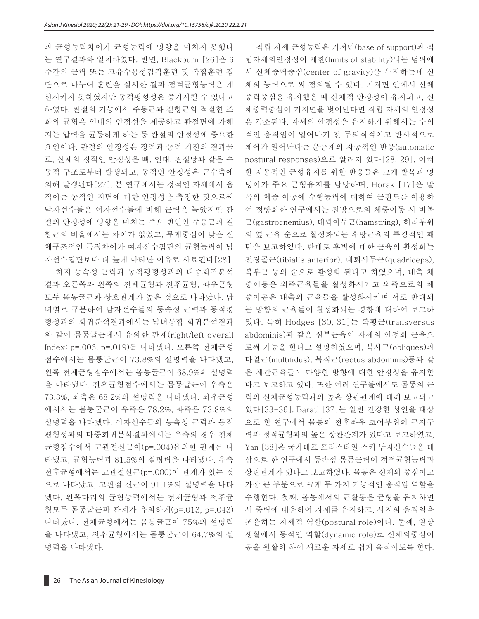과 균형능력차이가 균형능력에 영향을 미치지 못했다 는 연구결과와 일치하였다. 반면, Blackburn [26]은 6 주간의 근력 또는 고유수용성감각훈련 및 복합훈련 집 단으로 나누어 훈련을 실시한 결과 정적균형능력은 개 선시키지 못하였지만 동적평형성은 증가시킬 수 있다고 하였다. 관절의 기능에서 주동근과 길항근의 적절한 조 화와 균형은 인대의 안정성을 제공하고 관절면에 가해 지는 압력을 균등하게 하는 등 관절의 안정성에 중요한 요인이다. 관절의 안정성은 정적과 동적 기전의 결과물 로, 신체의 정적인 안정성은 뼈, 인대, 관절낭과 같은 수 동적 구조로부터 발생되고, 동적인 안정성은 근수축에 의해 발생된다[27]. 본 연구에서는 정적인 자세에서 움 직이는 동적인 지면에 대한 안정성을 측정한 것으로써 남자선수들은 여자선수들에 비해 근력은 높았지만 관 절의 안정성에 영향을 미치는 주요 변인인 주동근과 길 항근의 비율에서는 차이가 없었고, 무게중심이 낮은 신 체구조적인 특징차이가 여자선수집단의 균형능력이 남 자선수집단보다 더 높게 나타난 이유로 사료된다[28].

하지 등속성 근력과 동적평형성과의 다중회귀분석 결과 오른쪽과 왼쪽의 전체균형과 전후균형, 좌우균형 모두 몸통굴근과 상호관계가 높은 것으로 나타났다. 남 녀별로 구분하여 남자선수들의 등속성 근력과 동적평 형성과의 회귀분석결과에서는 남녀통합 회귀분석결과 와 같이 몸통굴근에서 유의한 관계(right/left overall Index: p=.006, p=.019)를 나타냈다. 오른쪽 전체균형 점수에서는 몸통굴근이 73.8%의 설명력을 나타냈고, 왼쪽 전체균형점수에서는 몸통굴근이 68.9%의 설명력 을 나타냈다. 전후균형점수에서는 몸통굴근이 우측은 73.3%, 좌측은 68.2%의 설명력을 나타냈다. 좌우균형 에서서는 몸통굴근이 우측은 78.2%, 좌측은 73.8%의 설명력을 나타냈다. 여자선수들의 등속성 근력과 동적 평형성과의 다중회귀분석결과에서는 우측의 경우 전체 균형점수에서 고관절신근이(p=.004)유의한 관계를 나 타냈고, 균형능력과 81.5%의 설명력을 나타냈다. 우측 전후균형에서는 고관절신근(p=.000)이 관계가 있는 것 으로 나타났고, 고관절 신근이 91.1%의 설명력을 나타 냈다. 왼쪽다리의 균형능력에서는 전체균형과 전후균 형모두 몸통굴근과 관계가 유의하게(p=.013, p=.043) 나타났다. 전체균형에서는 몸통굴근이 75%의 설명력 을 나타냈고, 전후균형에서는 몸통굴근이 64.7%의 설 명력을 나타냈다.

직립 자세 균형능력은 기저면(base of support)과 직 립자세의안정성이 제한(limits of stability)되는 범위에 서 신체중력중심(center of gravity)을 유지하는데 신 체의 능력으로 써 정의될 수 있다. 기저면 안에서 신체 중력중심을 유지했을 때 신체적 안정성이 유지되고, 신 체중력중심이 기저면을 벗어난다면 직립 자세의 안정성 은 감소된다. 자세의 안정성을 유지하기 위해서는 수의 적인 움직임이 일어나기 전 무의식적이고 반사적으로 제어가 일어난다는 운동계의 자동적인 반응(automatic postural responses)으로 알려져 있다[28, 29]. 이러 한 자동적인 균형유지를 위한 반응들은 크게 발목과 엉 덩이가 주요 균형유지를 담당하며, Horak [17]은 발 목의 체중 이동에 수행능력에 대하여 근전도를 이용하 여 정량화한 연구에서는 전방으로의 체중이동 시 비복 근(gastrocnemius), 대퇴이두근(hamstring), 허리부위 의 옆 근육 순으로 활성화되는 후방근육의 특징적인 패 턴을 보고하였다. 반대로 후방에 대한 근육의 활성화는 전경골근(tibialis anterior), 대퇴사두근(quadriceps), 복부근 등의 순으로 활성화 된다고 하였으며, 내측 체 중이동은 외측근육들을 활성화시키고 외측으로의 체 중이동은 내측의 근육들을 활성화시키며 서로 반대되 는 방향의 근육들이 활성화되는 경향에 대하여 보고하 였다. 특히 Hodges [30, 31]는 복횡근(transversus abdominis)과 같은 심부근육이 자세의 안정화 근육으 로써 기능을 한다고 설명하였으며, 복사근(obliques)과 다열근(multifidus), 복직근(rectus abdominis)등과 같 은 체간근육들이 다양한 방향에 대한 안정성을 유지한 다고 보고하고 있다. 또한 여러 연구들에서도 몸통의 근 력의 신체균형능력과의 높은 상관관계에 대해 보고되고 있다[33-36]. Barati [37]는 일반 건강한 성인을 대상 으로 한 연구에서 몸통의 전후좌우 코어부위의 근지구 력과 정적균형과의 높은 상관관계가 있다고 보고하였고, Yan [38]은 국가대표 프리스타일 스키 남자선수들을 대 상으로 한 연구에서 등속성 몸통근력이 정적균형능력과 상관관계가 있다고 보고하였다. 몸통은 신체의 중심이고 가장 큰 부분으로 크게 두 가지 기능적인 움직임 역할을 수행한다. 첫째, 몸통에서의 근활동은 균형을 유지하면 서 중력에 대응하여 자세를 유지하고, 사지의 움직임을 조율하는 자세적 역할(postural role)이다. 둘째, 일상 생활에서 동적인 역할(dynamic role)로 신체의중심이 동을 원활히 하여 새로운 자세로 쉽게 움직이도록 한다.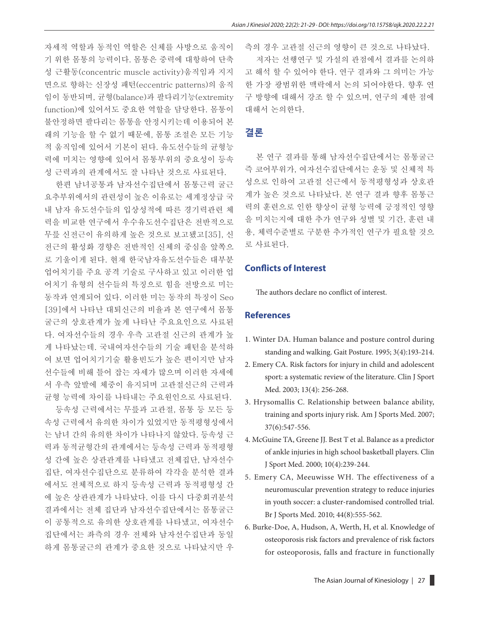자세적 역할과 동적인 역할은 신체를 사방으로 움직이 기 위한 몸통의 능력이다. 몸통은 중력에 대항하여 단축 성 근활동(concentric muscle activity)움직임과 지지 면으로 향하는 신장성 패턴(eccentric patterns)의 움직 임이 동반되며, 균형(balance)과 팔다리기능(extremity function)에 있어서도 중요한 역할을 담당한다. 몸통이 불안정하면 팔다리는 몸통을 안정시키는데 이용되어 본 래의 기능을 할 수 없기 때문에, 몸통 조절은 모든 기능 적 움직임에 있어서 기본이 된다. 유도선수들의 균형능 력에 미치는 영향에 있어서 몸통부위의 중요성이 등속 성 근력과의 관계에서도 잘 나타난 것으로 사료된다.

한편 남녀공통과 남자선수집단에서 몸통근력 굴근 요추부위에서의 관련성이 높은 이유로는 세계정상급 국 내 남자 유도선수들의 입상성적에 따른 경기력관련 체 력을 비교한 연구에서 우수유도선수집단은 전반적으로 무릎 신전근이 유의하게 높은 것으로 보고됐고[35], 신 전근의 활성화 경향은 전반적인 신체의 중심을 앞쪽으 로 기울이게 된다. 현재 한국남자유도선수들은 대부분 업어치기를 주요 공격 기술로 구사하고 있고 이러한 업 어치기 유형의 선수들의 특징으로 힘을 전방으로 미는 동작과 연계되어 있다. 이러한 미는 동작의 특징이 Seo [39]에서 나타난 대퇴신근의 비율과 본 연구에서 몸통 굴근의 상호관계가 높게 나타난 주요요인으로 사료된 다. 여자선수들의 경우 우측 고관절 신근의 관계가 높 게 나타났는데. 국내여자선수들의 기술 패턴을 분석하 여 보면 업어치기기술 활용빈도가 높은 편이지만 남자 선수들에 비해 틀어 잡는 자세가 많으며 이러한 자세에 서 우측 앞발에 체중이 유지되며 고관절신근의 근력과 균형 능력에 차이를 나타내는 주요원인으로 사료된다.

등속성 근력에서는 무릎과 고관절, 몸통 등 모든 등 속성 근력에서 유의한 차이가 있었지만 동적평형성에서 는 남녀 간의 유의한 차이가 나타나지 않았다. 등속성 근 력과 동적균형간의 관계에서는 등속성 근력과 동적평형 성 간에 높은 상관관계를 나타냈고 전체집단, 남자선수 집단, 여자선수집단으로 분류하여 각각을 분석한 결과 에서도 전체적으로 하지 등속성 근력과 동적평형성 간 에 높은 상관관계가 나타났다. 이를 다시 다중회귀분석 결과에서는 전체 집단과 남자선수집단에서는 몸통굴근 이 공통적으로 유의한 상호관계를 나타냈고, 여자선수 집단에서는 좌측의 경우 전체와 남자선수집단과 동일 하게 몸통굴근의 관계가 중요한 것으로 나타났지만 우 측의 경우 고관절 신근의 영향이 큰 것으로 나타났다. 저자는 선행연구 및 가설의 관점에서 결과를 논의하 고 해석 할 수 있어야 한다. 연구 결과와 그 의미는 가능 한 가장 광범위한 맥락에서 논의 되어야한다. 향후 연 구 방향에 대해서 강조 할 수 있으며, 연구의 제한 점에 대해서 논의한다.

## **결론**

본 연구 결과를 통해 남자선수집단에서는 몸통굴근 즉 코어부위가, 여자선수집단에서는 운동 및 신체적 특 성으로 인하여 고관절 신근에서 동적평형성과 상호관 계가 높은 것으로 나타났다. 본 연구 결과 향후 몸통근 력의 훈련으로 인한 향상이 균형 능력에 긍정적인 영향 을 미치는지에 대한 추가 연구와 성별 및 기간, 훈련 내 용, 체력수준별로 구분한 추가적인 연구가 필요할 것으 로 사료된다.

### **Conflicts of Interest**

The authors declare no conflict of interest.

#### **References**

- 1. Winter DA. Human balance and posture control during standing and walking. Gait Posture. 1995; 3(4):193-214.
- 2. Emery CA. Risk factors for injury in child and adolescent sport: a systematic review of the literature. Clin J Sport Med. 2003; 13(4): 256-268.
- 3. Hrysomallis C. Relationship between balance ability, training and sports injury risk. Am J Sports Med. 2007; 37(6):547-556.
- 4. McGuine TA, Greene JJ. Best T et al. Balance as a predictor of ankle injuries in high school basketball players. Clin J Sport Med. 2000; 10(4):239-244.
- 5. Emery CA, Meeuwisse WH. The effectiveness of a neuromuscular prevention strategy to reduce injuries in youth soccer: a cluster-randomised controlled trial. Br J Sports Med. 2010; 44(8):555-562.
- 6. Burke-Doe, A, Hudson, A, Werth, H, et al. Knowledge of osteoporosis risk factors and prevalence of risk factors for osteoporosis, falls and fracture in functionally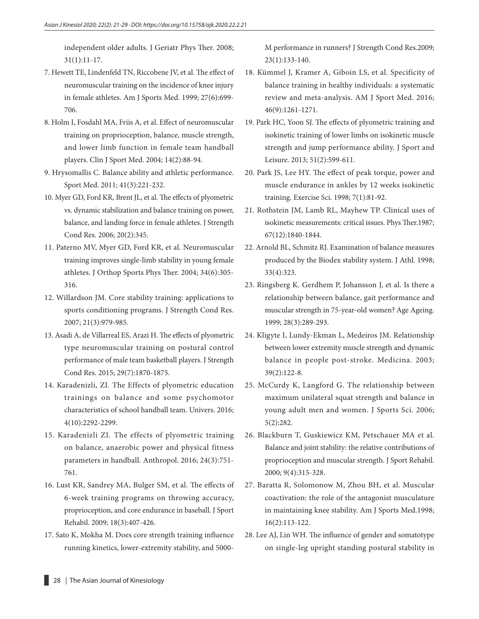independent older adults. J Geriatr Phys Ther. 2008; 31(1):11-17.

- 7. Hewett TE, Lindenfeld TN, Riccobene JV, et al. The effect of neuromuscular training on the incidence of knee injury in female athletes. Am J Sports Med. 1999; 27(6):699- 706.
- 8. Holm I, Fosdahl MA, Friis A, et al. Effect of neuromuscular training on proprioception, balance, muscle strength, and lower limb function in female team handball players. Clin J Sport Med. 2004; 14(2):88-94.
- 9. Hrysomallis C. Balance ability and athletic performance. Sport Med. 2011; 41(3):221-232.
- 10. Myer GD, Ford KR, Brent JL, et al. The effects of plyometric vs. dynamic stabilization and balance training on power, balance, and landing force in female athletes. J Strength Cond Res. 2006; 20(2):345.
- 11. Paterno MV, Myer GD, Ford KR, et al. Neuromuscular training improves single-limb stability in young female athletes. J Orthop Sports Phys Ther. 2004; 34(6):305- 316.
- 12. Willardson JM. Core stability training: applications to sports conditioning programs. J Strength Cond Res. 2007; 21(3):979-985.
- 13. Asadi A, de Villarreal ES, Arazi H. The effects of plyometric type neuromuscular training on postural control performance of male team basketball players. J Strength Cond Res. 2015; 29(7):1870-1875.
- 14. Karadenizli, ZI. The Effects of plyometric education trainings on balance and some psychomotor characteristics of school handball team. Univers. 2016; 4(10):2292-2299.
- 15. Karadenizli ZI. The effects of plyometric training on balance, anaerobic power and physical fitness parameters in handball. Anthropol. 2016; 24(3):751- 761.
- 16. Lust KR, Sandrey MA, Bulger SM, et al. The effects of 6-week training programs on throwing accuracy, proprioception, and core endurance in baseball. J Sport Rehabil. 2009; 18(3):407-426.
- 17. Sato K, Mokha M. Does core strength training influence running kinetics, lower-extremity stability, and 5000-

M performance in runners? J Strength Cond Res.2009; 23(1):133-140.

- 18. Kümmel J, Kramer A, Giboin LS, et al. Specificity of balance training in healthy individuals: a systematic review and meta-analysis. AM J Sport Med. 2016; 46(9):1261-1271.
- 19. Park HC, Yoon SJ. The effects of plyometric training and isokinetic training of lower limbs on isokinetic muscle strength and jump performance ability. J Sport and Leisure. 2013; 51(2):599-611.
- 20. Park JS, Lee HY. The effect of peak torque, power and muscle endurance in ankles by 12 weeks isokinetic training. Exercise Sci. 1998; 7(1):81-92.
- 21. Rothstein JM, Lamb RL, Mayhew TP. Clinical uses of isokinetic measurements: critical issues. Phys Ther.1987; 67(12):1840-1844.
- 22. Arnold BL, Schmitz RJ. Examination of balance measures produced by the Biodex stability system. J Athl. 1998; 33(4):323.
- 23. Ringsberg K. Gerdhem P, Johansson J, et al. Is there a relationship between balance, gait performance and muscular strength in 75-year-old women? Age Ageing. 1999; 28(3):289-293.
- 24. Kligyte I, Lundy-Ekman L, Medeiros JM. Relationship between lower extremity muscle strength and dynamic balance in people post-stroke. Medicina. 2003; 39(2):122-8.
- 25. McCurdy K, Langford G. The relationship between maximum unilateral squat strength and balance in young adult men and women. J Sports Sci. 2006; 5(2):282.
- 26. Blackburn T, Guskiewicz KM, Petschauer MA et al. Balance and joint stability: the relative contributions of proprioception and muscular strength. J Sport Rehabil. 2000; 9(4):315-328.
- 27. Baratta R, Solomonow M, Zhou BH, et al. Muscular coactivation: the role of the antagonist musculature in maintaining knee stability. Am J Sports Med.1998; 16(2):113-122.
- 28. Lee AJ, Lin WH. The influence of gender and somatotype on single-leg upright standing postural stability in